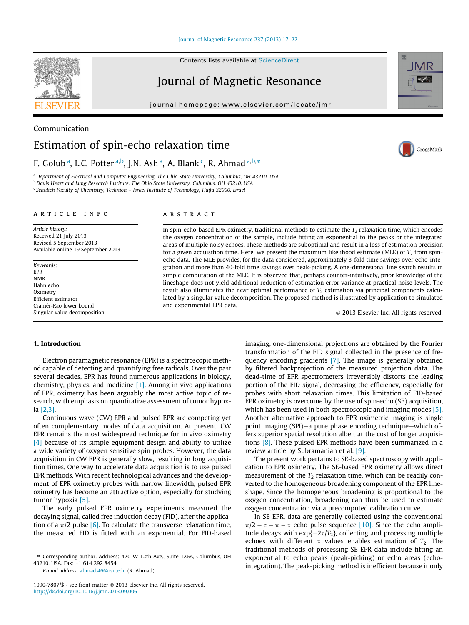Contents lists available at [ScienceDirect](http://www.sciencedirect.com/science/journal/10907807)

## Journal of Magnetic Resonance

journal homepage: [www.elsevier.com/locate/jmr](http://www.elsevier.com/locate/jmr)



CrossMark

Communication

# Estimation of spin-echo relaxation time

### F. Golub<sup>a</sup>, L.C. Potter<sup>a,b</sup>, J.N. Ash<sup>a</sup>, A. Blank<sup>c</sup>, R. Ahmad<sup>a,b,\*</sup>

<sup>a</sup> Department of Electrical and Computer Engineering, The Ohio State University, Columbus, OH 43210, USA b Davis Heart and Lung Research Institute, The Ohio State University, Columbus, OH 43210, USA <sup>c</sup> Schulich Faculty of Chemistry, Technion - Israel Institute of Technology, Haifa 32000, Israel

#### article info

Article history: Received 21 July 2013 Revised 5 September 2013 Available online 19 September 2013

Keywords: EPR NMR Hahn echo **Oximetry** Efficient estimator Cramér-Rao lower bound Singular value decomposition

#### ABSTRACT

In spin-echo-based EPR oximetry, traditional methods to estimate the  $T_2$  relaxation time, which encodes the oxygen concentration of the sample, include fitting an exponential to the peaks or the integrated areas of multiple noisy echoes. These methods are suboptimal and result in a loss of estimation precision for a given acquisition time. Here, we present the maximum likelihood estimate (MLE) of  $T_2$  from spinecho data. The MLE provides, for the data considered, approximately 3-fold time savings over echo-integration and more than 40-fold time savings over peak-picking. A one-dimensional line search results in simple computation of the MLE. It is observed that, perhaps counter-intuitively, prior knowledge of the lineshape does not yield additional reduction of estimation error variance at practical noise levels. The result also illuminates the near optimal performance of  $T<sub>2</sub>$  estimation via principal components calculated by a singular value decomposition. The proposed method is illustrated by application to simulated and experimental EPR data.

- 2013 Elsevier Inc. All rights reserved.

#### 1. Introduction

Electron paramagnetic resonance (EPR) is a spectroscopic method capable of detecting and quantifying free radicals. Over the past several decades, EPR has found numerous applications in biology, chemistry, physics, and medicine [\[1\].](#page-5-0) Among in vivo applications of EPR, oximetry has been arguably the most active topic of research, with emphasis on quantitative assessment of tumor hypoxia [\[2,3\]](#page-5-0).

Continuous wave (CW) EPR and pulsed EPR are competing yet often complementary modes of data acquisition. At present, CW EPR remains the most widespread technique for in vivo oximetry [\[4\]](#page-5-0) because of its simple equipment design and ability to utilize a wide variety of oxygen sensitive spin probes. However, the data acquisition in CW EPR is generally slow, resulting in long acquisition times. One way to accelerate data acquisition is to use pulsed EPR methods. With recent technological advances and the development of EPR oximetry probes with narrow linewidth, pulsed EPR oximetry has become an attractive option, especially for studying tumor hypoxia [\[5\]](#page-5-0).

The early pulsed EPR oximetry experiments measured the decaying signal, called free induction decay (FID), after the application of a  $\pi/2$  pulse [\[6\]](#page-5-0). To calculate the transverse relaxation time, the measured FID is fitted with an exponential. For FID-based

E-mail address: [ahmad.46@osu.edu](mailto:ahmad.46@osu.edu) (R. Ahmad).

imaging, one-dimensional projections are obtained by the Fourier transformation of the FID signal collected in the presence of frequency encoding gradients [\[7\].](#page-5-0) The image is generally obtained by filtered backprojection of the measured projection data. The dead-time of EPR spectrometers irreversibly distorts the leading portion of the FID signal, decreasing the efficiency, especially for probes with short relaxation times. This limitation of FID-based EPR oximetry is overcome by the use of spin-echo (SE) acquisition, which has been used in both spectroscopic and imaging modes [\[5\].](#page-5-0) Another alternative approach to EPR oximetric imaging is single point imaging (SPI)—a pure phase encoding technique—which offers superior spatial resolution albeit at the cost of longer acquisitions [\[8\]](#page-5-0). These pulsed EPR methods have been summarized in a review article by Subramanian et al. [\[9\].](#page-5-0)

The present work pertains to SE-based spectroscopy with application to EPR oximetry. The SE-based EPR oximetry allows direct measurement of the  $T_2$  relaxation time, which can be readily converted to the homogeneous broadening component of the EPR lineshape. Since the homogeneous broadening is proportional to the oxygen concentration, broadening can thus be used to estimate oxygen concentration via a precomputed calibration curve.

In SE-EPR, data are generally collected using the conventional  $\pi/2 - \tau - \pi - \tau$  echo pulse sequence [\[10\].](#page-5-0) Since the echo amplitude decays with  $exp{-2\tau/T_2}$ , collecting and processing multiple echoes with different  $\tau$  values enables estimation of  $T_2$ . The traditional methods of processing SE-EPR data include fitting an exponential to echo peaks (peak-picking) or echo areas (echointegration). The peak-picking method is inefficient because it only

<sup>⇑</sup> Corresponding author. Address: 420 W 12th Ave., Suite 126A, Columbus, OH 43210, USA. Fax: +1 614 292 8454.

<sup>1090-7807/\$ -</sup> see front matter © 2013 Elsevier Inc. All rights reserved. <http://dx.doi.org/10.1016/j.jmr.2013.09.006>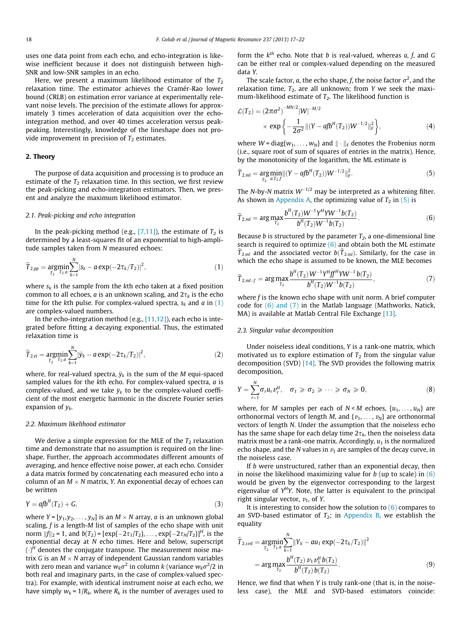<span id="page-1-0"></span>uses one data point from each echo, and echo-integration is likewise inefficient because it does not distinguish between high-SNR and low-SNR samples in an echo.

Here, we present a maximum likelihood estimator of the  $T_2$ relaxation time. The estimator achieves the Cramér-Rao lower bound (CRLB) on estimation error variance at experimentally relevant noise levels. The precision of the estimate allows for approximately 3 times acceleration of data acquisition over the echointegration method, and over 40 times acceleration versus peakpeaking. Interestingly, knowledge of the lineshape does not provide improvement in precision of  $T_2$  estimates.

### 2. Theory

The purpose of data acquisition and processing is to produce an estimate of the  $T_2$  relaxation time. In this section, we first review the peak-picking and echo-integration estimators. Then, we present and analyze the maximum likelihood estimator.

#### 2.1. Peak-picking and echo integration

In the peak-picking method (e.g.,  $[7,11]$ ), the estimate of  $T_2$  is determined by a least-squares fit of an exponential to high-amplitude samples taken from N measured echoes:

$$
\widehat{T}_{2,pp} = \underset{T_2}{\text{argmin}} \sum_{T_2,a}^{N} |s_k - a \exp(-2\tau_k/T_2)|^2, \tag{1}
$$

where  $s_k$  is the sample from the kth echo taken at a fixed position common to all echoes, *a* is an unknown scaling, and  $2\tau_k$  is the echo time for the kth pulse. For complex-valued spectra,  $s_k$  and a in (1) are complex-valued numbers.

In the echo-integration method (e.g., [\[11,12\]](#page-5-0)), each echo is integrated before fitting a decaying exponential. Thus, the estimated relaxation time is

$$
\widehat{T}_{2,ei} = \underset{T_2}{\text{argmin}} \sum_{T_2, a}^{N} |\bar{y}_k - a \exp(-2\tau_k/T_2)|^2, \tag{2}
$$

where, for real-valued spectra,  $\bar{y}_k$  is the sum of the M equi-spaced sampled values for the kth echo. For complex-valued spectra, a is complex-valued, and we take  $\bar{y}_k$  to be the complex-valued coefficient of the most energetic harmonic in the discrete Fourier series expansion of  $y_k$ .

#### 2.2. Maximum likelihood estimator

We derive a simple expression for the MLE of the  $T_2$  relaxation time and demonstrate that no assumption is required on the lineshape. Further, the approach accommodates different amounts of averaging, and hence effective noise power, at each echo. Consider a data matrix formed by concatenating each measured echo into a column of an  $M \times N$  matrix, Y. An exponential decay of echoes can be written

$$
Y = afbH(T2) + G,
$$
\n(3)

where  $Y = [y_1, y_2, \dots, y_N]$  is an  $M \times N$  array, *a* is an unknown global scaling,  $f$  is a length- $M$  list of samples of the echo shape with unit norm  $||f||_2 = 1$ , and  $b(T_2) = [\exp{-2\tau_1/T_2}], \ldots, \exp{-2\tau_N/T_2}]^H$ , is the exponential decay at N echo times. Here and below, superscript  $\left(\cdot\right)^{H}$  denotes the conjugate transpose. The measurement noise matrix  $G$  is an  $M \times N$  array of independent Gaussian random variables with zero mean and variance  $w_k\sigma^2$  in column  $k$  (variance  $w_k\sigma^2/2$  in both real and imaginary parts, in the case of complex-valued spectra). For example, with identical instrument noise at each echo, we have simply  $w_k = 1/R_k$ , where  $R_k$  is the number of averages used to

form the  $k^{th}$  echo. Note that b is real-valued, whereas a, f, and G can be either real or complex-valued depending on the measured data Y.

The scale factor,  $a$ , the echo shape,  $f$ , the noise factor  $\sigma^2$ , and the relaxation time,  $T_2$ , are all unknown; from Y we seek the maximum-likelihood estimate of  $T_2$ . The likelihood function is

$$
\mathcal{L}(T_2) = (2\pi\sigma^2)^{-MN/2} |W|^{-M/2}
$$
  
× exp  $\left\{-\frac{1}{2\sigma^2} ||(Y - afb^H(T_2))W^{-1/2}||_F^2\right\},$  (4)

where  $W = diag\{w_1, \ldots, w_N\}$  and  $\|\cdot\|_F$  denotes the Frobenius norm (i.e., square root of sum of squares of entries in the matrix). Hence, by the monotonicity of the logarithm, the ML estimate is

$$
\widehat{T}_{2,ml} = \underset{T_2}{\text{arg min}} ||(Y - afb^H(T_2))W^{-1/2}||_F^2.
$$
\n(5)

The N-by-N matrix  $W^{-1/2}$  may be interpreted as a whitening filter. As shown in [Appendix A](#page-4-0), the optimizing value of  $T_2$  in (5) is

$$
\widehat{T}_{2,ml} = \arg\max_{T_2} \frac{b^H(T_2)W^{-1}Y^HYW^{-1}b(T_2)}{b^H(T_2)W^{-1}b(T_2)}.
$$
\n(6)

Because *b* is structured by the parameter  $T_2$ , a one-dimensional line search is required to optimize  $(6)$  and obtain both the ML estimate  $\widehat{T}_{2,ml}$  and the associated vector  $b(\widehat{T}_{2,ml})$ . Similarly, for the case in which the echo shape is assumed to be known, the MLE becomes

$$
\widehat{T}_{2,ml-f} = \arg \max_{T_2} \frac{b^H(T_2) W^{-1} Y^H f f^H Y W^{-1} b(T_2)}{b^H(T_2) W^{-1} b(T_2)},
$$
\n(7)

where  $f$  is the known echo shape with unit norm. A brief computer code for (6) and (7) in the Matlab language (Mathworks, Natick, MA) is available at Matlab Central File Exchange [\[13\].](#page-5-0)

#### 2.3. Singular value decomposition

Under noiseless ideal conditions, Y is a rank-one matrix, which motivated us to explore estimation of  $T_2$  from the singular value decomposition (SVD)  $[14]$ . The SVD provides the following matrix decomposition,

$$
Y = \sum_{r=1}^{N} \sigma_r u_r v_r^H, \quad \sigma_1 \geq \sigma_2 \geq \cdots \geq \sigma_N \geq 0,
$$
 (8)

where, for M samples per each of  $N < M$  echoes,  $\{u_1, \ldots, u_N\}$  are orthonormal vectors of length M, and  $\{v_1, \ldots, v_N\}$  are orthonormal vectors of length N. Under the assumption that the noiseless echo has the same shape for each delay time  $2\tau_k$ , then the noiseless data matrix must be a rank-one matrix. Accordingly,  $u_1$  is the normalized echo shape, and the N values in  $v_1$  are samples of the decay curve, in the noiseless case.

If b were unstructured, rather than an exponential decay, then in noise the likelihood maximizing value for  $b$  (up to scale) in  $(6)$ would be given by the eigenvector corresponding to the largest eigenvalue of  $Y<sup>H</sup>Y$ . Note, the latter is equivalent to the principal right singular vector,  $v_1$ , of Y.

It is interesting to consider how the solution to  $(6)$  compares to an SVD-based estimator of  $T_2$ ; in [Appendix B,](#page-4-0) we establish the equality

$$
\widehat{T}_{2,svd} = \underset{T_2}{\text{argmin}} \sum_{T_2 \cdot u}^{N} \|Y_k - au_1 \exp(-2\tau_k/T_2)\|^2
$$
\n
$$
= \underset{T_2}{\text{arg max}} \frac{b^H(T_2) v_1 v_1^H b(T_2)}{b^H(T_2) b(T_2)}.
$$
\n(9)

Hence, we find that when Y is truly rank-one (that is, in the noiseless case), the MLE and SVD-based estimators coincide: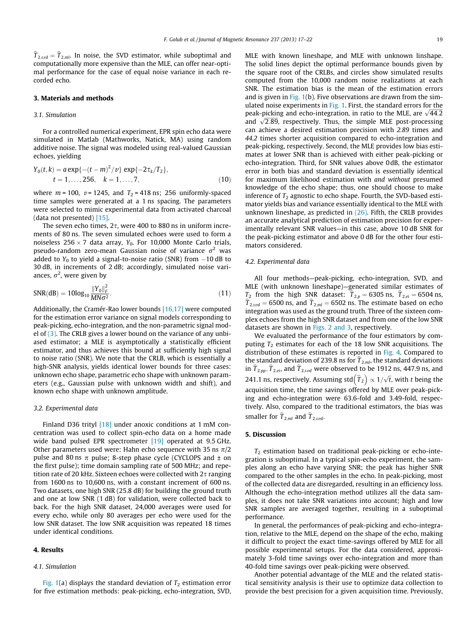$\widehat{T}_{2,svd} = \widehat{T}_{2,ml}$ . In noise, the SVD estimator, while suboptimal and computationally more expensive than the MLE, can offer near-optimal performance for the case of equal noise variance in each recorded echo.

#### 3. Materials and methods

#### 3.1. Simulation

For a controlled numerical experiment, EPR spin echo data were simulated in Matlab (Mathworks, Natick, MA) using random additive noise. The signal was modeled using real-valued Gaussian echoes, yielding

$$
Y_0(t,k) = a \exp\{-(t-m)^2/\nu\} \exp\{-2\tau_k/T_2\},
$$
  
\n
$$
t = 1,...,256, \quad k = 1,...,7,
$$
 (10)

where  $m = 100$ ,  $v = 1245$ , and  $T_2 = 418$  ns; 256 uniformly-spaced time samples were generated at a 1 ns spacing. The parameters were selected to mimic experimental data from activated charcoal (data not presented) [\[15\]](#page-5-0).

The seven echo times,  $2\tau$ , were 400 to 880 ns in uniform increments of 80 ns. The seven simulated echoes were used to form a noiseless 256  $\times$  7 data array,  $Y_0$ . For 10,000 Monte Carlo trials, pseudo-random zero-mean Gaussian noise of variance  $\sigma^2$  was added to  $Y_0$  to yield a signal-to-noise ratio (SNR) from  $-10\,\mathrm{dB}$  to 30 dB, in increments of 2 dB; accordingly, simulated noise variances,  $\sigma^2$ , were given by

$$
SNR(dB) = 10\log_{10} \frac{\|Y_0\|_F^2}{MN\sigma^2}.
$$
\n(11)

Additionally, the Cramér-Rao lower bounds [\[16,17\]](#page-5-0) were computed for the estimation error variance on signal models corresponding to peak-picking, echo-integration, and the non-parametric signal model of  $(3)$ . The CRLB gives a lower bound on the variance of any unbiased estimator; a MLE is asymptotically a statistically efficient estimator, and thus achieves this bound at sufficiently high signal to noise ratio (SNR). We note that the CRLB, which is essentially a high-SNR analysis, yields identical lower bounds for three cases: unknown echo shape, parametric echo shape with unknown parameters (e.g., Gaussian pulse with unknown width and shift), and known echo shape with unknown amplitude.

#### 3.2. Experimental data

Finland D36 trityl [\[18\]](#page-5-0) under anoxic conditions at 1 mM concentration was used to collect spin-echo data on a home made wide band pulsed EPR spectrometer [\[19\]](#page-5-0) operated at 9.5 GHz. Other parameters used were: Hahn echo sequence with 35 ns  $\pi/2$ pulse and 80 ns  $\pi$  pulse; 8-step phase cycle (CYCLOPS and  $\pm$  on the first pulse); time domain sampling rate of 500 MHz; and repetition rate of 20 kHz. Sixteen echoes were collected with  $2\tau$  ranging from 1600 ns to 10,600 ns, with a constant increment of 600 ns. Two datasets, one high SNR (25.8 dB) for building the ground truth and one at low SNR (1 dB) for validation, were collected back to back. For the high SNR dataset, 24,000 averages were used for every echo, while only 80 averages per echo were used for the low SNR dataset. The low SNR acquisition was repeated 18 times under identical conditions.

#### 4. Results

#### 4.1. Simulation

[Fig. 1\(](#page-3-0)a) displays the standard deviation of  $T_2$  estimation error for five estimation methods: peak-picking, echo-integration, SVD, MLE with known lineshape, and MLE with unknown linshape. The solid lines depict the optimal performance bounds given by the square root of the CRLBs, and circles show simulated results computed from the 10,000 random noise realizations at each SNR. The estimation bias is the mean of the estimation errors and is given in Fig.  $1(b)$ . Five observations are drawn from the sim-ulated noise experiments in [Fig. 1](#page-3-0). First, the standard errors for the mated holse experiments in Fig. 1. First, the standard errors for the peak-picking and echo-integration, in ratio to the MLE, are  $\sqrt{44.2}$  $\mu$  peak-picking and echo-integration, in ratio to the MLE, are  $\sqrt{44.2}$  and  $\sqrt{2.89}$ , respectively. Thus, the simple MLE post-processing can achieve a desired estimation precision with 2.89 times and 44.2 times shorter acquisition compared to echo-integration and peak-picking, respectively. Second, the MLE provides low bias estimates at lower SNR than is achieved with either peak-picking or echo-integration. Third, for SNR values above 0dB, the estimator error in both bias and standard deviation is essentially identical for maximum likelihood estimation with and without presumed knowledge of the echo shape; thus, one should choose to make inference of  $T_2$  agnostic to echo shape. Fourth, the SVD-based estimator yields bias and variance essentially identical to the MLE with unknown lineshape, as predicted in  $(26)$ . Fifth, the CRLB provides an accurate analytical prediction of estimation precision for experimentally relevant SNR values—in this case, above 10 dB SNR for the peak-picking estimator and above 0 dB for the other four estimators considered.

#### 4.2. Experimental data

All four methods—peak-picking, echo-integration, SVD, and MLE (with unknown lineshape)—generated similar estimates of  $T_2$  from the high SNR dataset:  $T_{2,p} = 6305$  ns,  $T_{2,ei} = 6504$  ns,  $\overline{T}_{2,svd} = 6500$  ns, and  $\overline{T}_{2,ml} = 6502$  ns. The estimate based on echo integration was used as the ground truth. Three of the sixteen complex echoes from the high SNR dataset and from one of the low SNR datasets are shown in [Figs. 2 and 3,](#page-3-0) respectively.

We evaluated the performance of the four estimators by computing  $T_2$  estimates for each of the 18 low SNR acquisitions. The distribution of these estimates is reported in [Fig. 4](#page-3-0). Compared to the standard deviation of 239.8 ns for  $\widehat{T}_{2,ml}$ , the standard deviations in  $\widehat{T}_{2,pp}$ ,  $\widehat{T}_{2,ei}$ , and  $\widehat{T}_{2,svd}$  were observed to be 1912 ns, 447.9 ns, and 241.1 ns, respectively. Assuming std $(\widehat{T}_2) \propto 1/\sqrt{t}$ , with t being the acquisition time, the time savings offered by MLE over peak-picking and echo-integration were 63.6-fold and 3.49-fold, respectively. Also, compared to the traditional estimators, the bias was smaller for  $\widehat{T}_{2,ml}$  and  $\widehat{T}_{2,svd}$ .

#### 5. Discussion

 $T_2$  estimation based on traditional peak-picking or echo-integration is suboptimal. In a typical spin-echo experiment, the samples along an echo have varying SNR; the peak has higher SNR compared to the other samples in the echo. In peak-picking, most of the collected data are disregarded, resulting in an efficiency loss. Although the echo-integration method utilizes all the data samples, it does not take SNR variations into account; high and low SNR samples are averaged together, resulting in a suboptimal performance.

In general, the performances of peak-picking and echo-integration, relative to the MLE, depend on the shape of the echo, making it difficult to project the exact time-savings offered by MLE for all possible experimental setups. For the data considered, approximately 3-fold time savings over echo-integration and more than 40-fold time savings over peak-picking were observed.

Another potential advantage of the MLE and the related statistical sensitivity analysis is their use to optimize data collection to provide the best precision for a given acquisition time. Previously,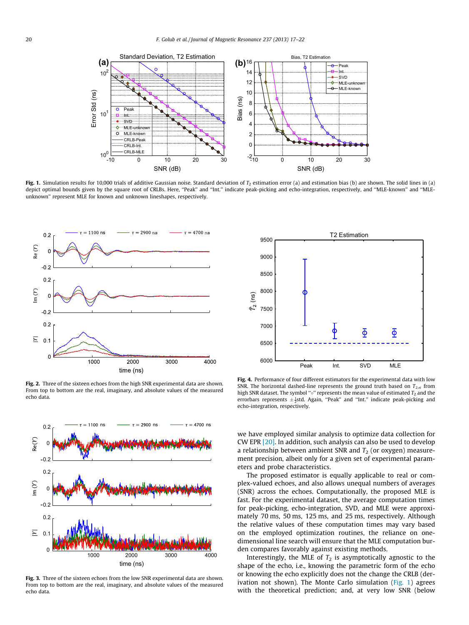<span id="page-3-0"></span>

Fig. 1. Simulation results for 10,000 trials of additive Gaussian noise. Standard deviation of  $T_2$  estimation error (a) and estimation bias (b) are shown. The solid lines in (a) depict optimal bounds given by the square root of CRLBs. Here, ''Peak'' and ''Int.'' indicate peak-picking and echo-integration, respectively, and ''MLE-known'' and ''MLEunknown'' represent MLE for known and unknown lineshapes, respectively.



Fig. 2. Three of the sixteen echoes from the high SNR experimental data are shown. From top to bottom are the real, imaginary, and absolute values of the measured echo data.



Fig. 3. Three of the sixteen echoes from the low SNR experimental data are shown. From top to bottom are the real, imaginary, and absolute values of the measured echo data.



Fig. 4. Performance of four different estimators for the experimental data with low SNR. The horizontal dashed-line represents the ground truth based on  $T_{2,ei}$  from high SNR dataset. The symbol " $\circ$ " represents the mean value of estimated  $T_2$  and the errorbars represents  $\pm \frac{1}{2}$ std. Again, "Peak" and "Int." indicate peak-picking and echo-integration, respectively.

we have employed similar analysis to optimize data collection for CW EPR [\[20\]](#page-5-0). In addition, such analysis can also be used to develop a relationship between ambient SNR and  $T_2$  (or oxygen) measurement precision, albeit only for a given set of experimental parameters and probe characteristics.

The proposed estimator is equally applicable to real or complex-valued echoes, and also allows unequal numbers of averages (SNR) across the echoes. Computationally, the proposed MLE is fast. For the experimental dataset, the average computation times for peak-picking, echo-integration, SVD, and MLE were approximately 70 ms, 50 ms, 125 ms, and 25 ms, respectively. Although the relative values of these computation times may vary based on the employed optimization routines, the reliance on onedimensional line search will ensure that the MLE computation burden compares favorably against existing methods.

Interestingly, the MLE of  $T_2$  is asymptotically agnostic to the shape of the echo, i.e., knowing the parametric form of the echo or knowing the echo explicitly does not the change the CRLB (derivation not shown). The Monte Carlo simulation ( $Fig. 1$ ) agrees with the theoretical prediction; and, at very low SNR (below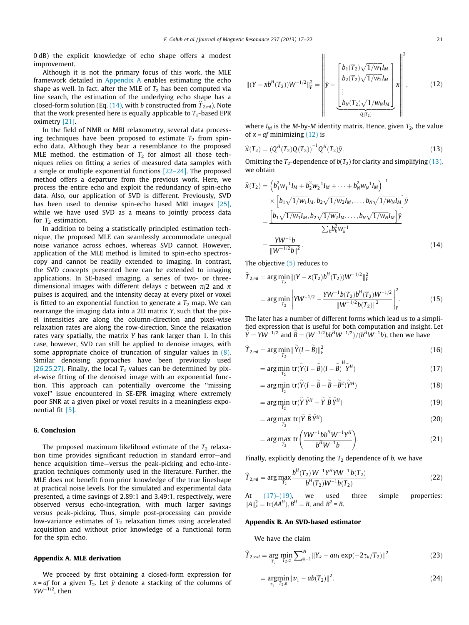<span id="page-4-0"></span>0 dB) the explicit knowledge of echo shape offers a modest improvement.

Although it is not the primary focus of this work, the MLE framework detailed in Appendix A enables estimating the echo shape as well. In fact, after the MLE of  $T_2$  has been computed via line search, the estimation of the underlying echo shape has a closed-form solution (Eq. (14), with b constructed from  $\widehat{T}_{2,ml}$ ). Note that the work presented here is equally applicable to  $T_1$ -based EPR oximetry [\[21\].](#page-5-0)

In the field of NMR or MRI relaxometry, several data processing techniques have been proposed to estimate  $T_2$  from spinecho data. Although they bear a resemblance to the proposed MLE method, the estimation of  $T_2$  for almost all those techniques relies on fitting a series of measured data samples with a single or multiple exponential functions [\[22–24\].](#page-5-0) The proposed method offers a departure from the previous work. Here, we process the entire echo and exploit the redundancy of spin-echo data. Also, our application of SVD is different. Previously, SVD has been used to denoise spin-echo based MRI images [\[25\],](#page-5-0) while we have used SVD as a means to jointly process data for  $T_2$  estimation.

In addition to being a statistically principled estimation technique, the proposed MLE can seamlessly accommodate unequal noise variance across echoes, whereas SVD cannot. However, application of the MLE method is limited to spin-echo spectroscopy and cannot be readily extended to imaging. In contrast, the SVD concepts presented here can be extended to imaging applications. In SE-based imaging, a series of two- or threedimensional images with different delays  $\tau$  between  $\pi/2$  and  $\pi$ pulses is acquired, and the intensity decay at every pixel or voxel is fitted to an exponential function to generate a  $T_2$  map. We can rearrange the imaging data into a 2D matrix Y, such that the pixel intensities are along the column-direction and pixel-wise relaxation rates are along the row-direction. Since the relaxation rates vary spatially, the matrix Y has rank larger than 1. In this case, however, SVD can still be applied to denoise images, with some appropriate choice of truncation of singular values in [\(8\).](#page-1-0) Similar denoising approaches have been previously used [\[26,25,27\].](#page-5-0) Finally, the local  $T_2$  values can be determined by pixel-wise fitting of the denoised image with an exponential function. This approach can potentially overcome the ''missing voxel'' issue encountered in SE-EPR imaging where extremely poor SNR at a given pixel or voxel results in a meaningless exponential fit [\[5\]](#page-5-0).

#### 6. Conclusion

The proposed maximum likelihood estimate of the  $T_2$  relaxation time provides significant reduction in standard error—and hence acquisition time—versus the peak-picking and echo-integration techniques commonly used in the literature. Further, the MLE does not benefit from prior knowledge of the true lineshape at practical noise levels. For the simulated and experimental data presented, a time savings of 2.89:1 and 3.49:1, respectively, were observed versus echo-integration, with much larger savings versus peak-picking. Thus, simple post-processing can provide low-variance estimates of  $T_2$  relaxation times using accelerated acquisition and without prior knowledge of a functional form for the spin echo.

#### Appendix A. MLE derivation

We proceed by first obtaining a closed-form expression for  $x = af$  for a given  $T_2$ . Let  $\tilde{y}$  denote a stacking of the columns of  $YW^{-1/2}$ , then

$$
\| (Y - xb^H(T_2))W^{-1/2} \|_F^2 = \left\| \tilde{y} - \left[ \frac{b_1(T_2)\sqrt{1/w_1}I_M}{b_2(T_2)\sqrt{1/w_2}I_M} \right] x \right\|^2,
$$
(12)

where  $I_M$  is the M-by-M identity matrix. Hence, given  $T_2$ , the value of  $x = af$  minimizing  $(12)$  is

$$
\widehat{\mathbf{x}}(T_2) = \left(\mathbf{Q}^H(T_2)\mathbf{Q}(T_2)\right)^{-1}\mathbf{Q}^H(T_2)\widetilde{\mathbf{y}}.\tag{13}
$$

Omitting the  $T_2$ -dependence of  $b(T_2)$  for clarity and simplifying (13), we obtain

$$
\hat{\mathbf{x}}(T_2) = \left(b_1^2 w_1^{-1} I_M + b_2^2 w_2^{-1} I_M + \dots + b_N^2 w_N^{-1} I_M\right)^{-1} \times \left[b_1 \sqrt{1/w_1} I_M, b_2 \sqrt{1/w_2} I_M, \dots, b_N \sqrt{1/w_N} I_M\right] \tilde{\mathbf{y}} \n= \frac{\left[b_1 \sqrt{1/w_1} I_M, b_2 \sqrt{1/w_2} I_M, \dots, b_N \sqrt{1/w_N} I_M\right] \tilde{\mathbf{y}}}{\sum_k b_k^2 w_k^{-1}} \n= \frac{YW^{-1}b}{\|W^{-1/2}b\|^2}.
$$
\n(14)

The objective [\(5\)](#page-1-0) reduces to

$$
\hat{T}_{2,ml} = \arg\min_{T_2} \left\| (Y - x(T_2)b^H(T_2))W^{-1/2} \right\|_F^2
$$
\n
$$
= \arg\min_{T_2} \left\| YW^{-1/2} - \frac{YW^{-1}b(T_2)b^H(T_2)W^{-1/2}}{\|W^{-1/2}b(T_2)\|^2} \right\|_F^2.
$$
\n(15)

The later has a number of different forms which lead us to a simplified expression that is useful for both computation and insight. Let  $\dot{Y} = YW^{-1/2}$  and  $\dot{B} = (W^{-1/2}bb^HW^{-1/2})/(b^HW^{-1}b)$ , then we have

$$
\widehat{T}_{2,ml} = \arg\min_{T_2} \|\widetilde{Y}(I - \widetilde{B})\|_F^2
$$
\n(16)

$$
= \arg\min_{T_2} \operatorname{tr}(\widetilde{Y}(I - \widetilde{B})(I - \widetilde{B})^H \widetilde{Y}^H)
$$
\n(17)

$$
= \arg\min_{T_2} \, \text{tr}(\tilde{Y}(I - \tilde{B} - \tilde{B} + \tilde{B}^2)\tilde{Y}^H) \tag{18}
$$

$$
= \arg\min_{T_2} \text{tr}(\widetilde{Y}\,\widetilde{Y}^H - \widetilde{Y}\,\widetilde{B}\,\widetilde{Y}^H) \tag{19}
$$

$$
= \arg \max_{T_2} \text{tr}(\tilde{Y} \tilde{B} \tilde{Y}^H) \tag{20}
$$

$$
= \arg \max_{T_2} \text{tr}\left(\frac{YW^{-1}bb^HW^{-1}Y^H}{b^HW^{-1}b}\right).
$$
 (21)

Finally, explicitly denoting the  $T_2$  dependence of b, we have

$$
\widehat{T}_{2,ml} = \arg\max_{T_2} \frac{b^H(T_2)W^{-1}Y^HYW^{-1}b(T_2)}{b^H(T_2)W^{-1}b(T_2)}
$$
\n(22)

At (17)–(19), we used three simple properties:  $||A||_F^2 = \text{tr}(AA^H), B^H = B$ , and  $B^2 = B$ .

#### Appendix B. An SVD-based estimator

We have the claim

$$
\widehat{T}_{2,svd} = \underset{T_2}{\arg} \min_{T_2, a} \sum_{k=1}^{N} ||Y_k - au_1 \exp(-2\tau_k/T_2)||^2
$$
\n(23)

$$
= \underset{T_2}{\text{argmin}} ||v_1 - ab(T_2)||^2. \tag{24}
$$